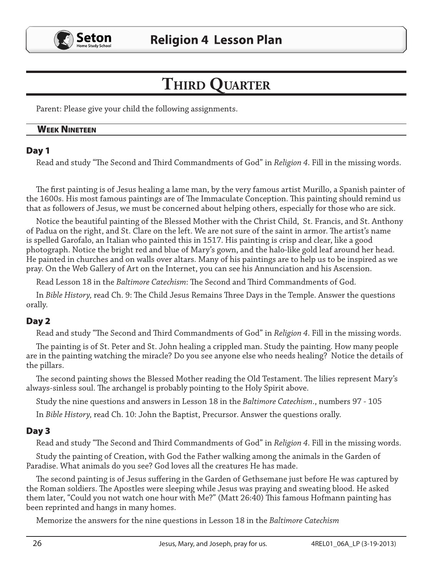

# **Third Quarter**

Parent: Please give your child the following assignments.

#### **WEEK NINETEEN**

### Day 1

Read and study "The Second and Third Commandments of God" in *Religion 4*. Fill in the missing words.

The first painting is of Jesus healing a lame man, by the very famous artist Murillo, a Spanish painter of the 1600s. His most famous paintings are of The Immaculate Conception. This painting should remind us that as followers of Jesus, we must be concerned about helping others, especially for those who are sick.

Notice the beautiful painting of the Blessed Mother with the Christ Child, St. Francis, and St. Anthony of Padua on the right, and St. Clare on the left. We are not sure of the saint in armor. The artist's name is spelled Garofalo, an Italian who painted this in 1517. His painting is crisp and clear, like a good photograph. Notice the bright red and blue of Mary's gown, and the halo-like gold leaf around her head. He painted in churches and on walls over altars. Many of his paintings are to help us to be inspired as we pray. On the Web Gallery of Art on the Internet, you can see his Annunciation and his Ascension.

Read Lesson 18 in the *Baltimore Catechism*: The Second and Third Commandments of God.

In *Bible History,* read Ch. 9: The Child Jesus Remains Three Days in the Temple. Answer the questions orally.

# Day 2

Read and study "The Second and Third Commandments of God" in *Religion 4*. Fill in the missing words.

The painting is of St. Peter and St. John healing a crippled man. Study the painting. How many people are in the painting watching the miracle? Do you see anyone else who needs healing? Notice the details of the pillars.

The second painting shows the Blessed Mother reading the Old Testament. The lilies represent Mary's always-sinless soul. The archangel is probably pointing to the Holy Spirit above.

Study the nine questions and answers in Lesson 18 in the *Baltimore Catechism*., numbers 97 - 105

In *Bible History,* read Ch. 10: John the Baptist, Precursor. Answer the questions orally.

# Day 3

Read and study "The Second and Third Commandments of God" in *Religion 4*. Fill in the missing words.

Study the painting of Creation, with God the Father walking among the animals in the Garden of Paradise. What animals do you see? God loves all the creatures He has made.

The second painting is of Jesus suffering in the Garden of Gethsemane just before He was captured by the Roman soldiers. The Apostles were sleeping while Jesus was praying and sweating blood. He asked them later, "Could you not watch one hour with Me?" (Matt 26:40) This famous Hofmann painting has been reprinted and hangs in many homes.

Memorize the answers for the nine questions in Lesson 18 in the *Baltimore Catechism*